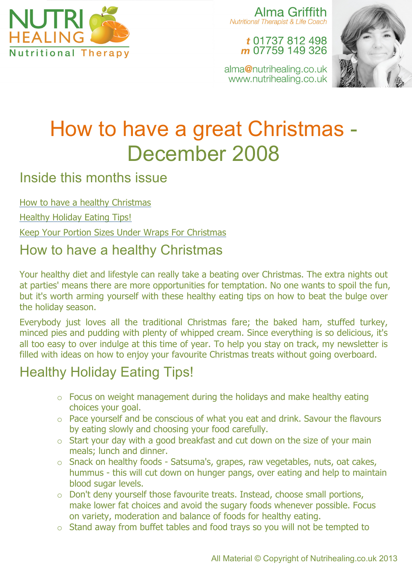

Alma Griffith **Nutritional Therapist & Life Coach** 

#### t 01737 812 498 m 07759 149 326

alma@nutrihealing.co.uk www.nutrihealing.co.uk



# How to have a great Christmas - December 2008

#### Inside this months issue

How to have a healthy Christmas

Healthy Holiday Eating Tips!

Keep Your Portion Sizes Under Wraps For Christmas

### How to have a healthy Christmas

Your healthy diet and lifestyle can really take a beating over Christmas. The extra nights out at parties' means there are more opportunities for temptation. No one wants to spoil the fun, but it's worth arming yourself with these healthy eating tips on how to beat the bulge over the holiday season.

Everybody just loves all the traditional Christmas fare; the baked ham, stuffed turkey, minced pies and pudding with plenty of whipped cream. Since everything is so delicious, it's all too easy to over indulge at this time of year. To help you stay on track, my newsletter is filled with ideas on how to enjoy your favourite Christmas treats without going overboard.

## Healthy Holiday Eating Tips!

- o Focus on weight management during the holidays and make healthy eating choices your goal.
- o Pace yourself and be conscious of what you eat and drink. Savour the flavours by eating slowly and choosing your food carefully.
- $\circ$  Start your day with a good breakfast and cut down on the size of your main meals; lunch and dinner.
- o Snack on healthy foods Satsuma's, grapes, raw vegetables, nuts, oat cakes, hummus - this will cut down on hunger pangs, over eating and help to maintain blood sugar levels.
- o Don't deny yourself those favourite treats. Instead, choose small portions, make lower fat choices and avoid the sugary foods whenever possible. Focus on variety, moderation and balance of foods for healthy eating.
- o Stand away from buffet tables and food trays so you will not be tempted to